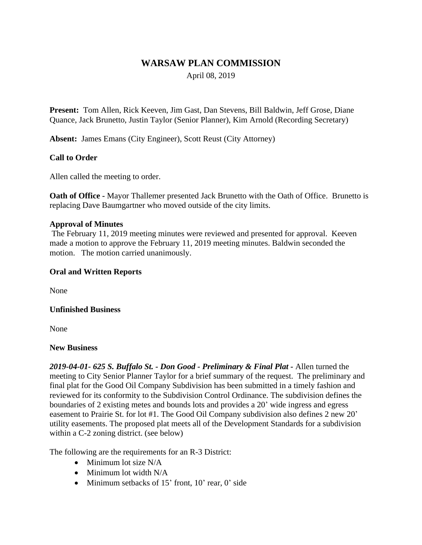# **WARSAW PLAN COMMISSION**

April 08, 2019

**Present:** Tom Allen, Rick Keeven, Jim Gast, Dan Stevens, Bill Baldwin, Jeff Grose, Diane Quance, Jack Brunetto, Justin Taylor (Senior Planner), Kim Arnold (Recording Secretary)

**Absent:** James Emans (City Engineer), Scott Reust (City Attorney)

### **Call to Order**

Allen called the meeting to order.

**Oath of Office -** Mayor Thallemer presented Jack Brunetto with the Oath of Office. Brunetto is replacing Dave Baumgartner who moved outside of the city limits.

#### **Approval of Minutes**

The February 11, 2019 meeting minutes were reviewed and presented for approval. Keeven made a motion to approve the February 11, 2019 meeting minutes. Baldwin seconded the motion. The motion carried unanimously.

### **Oral and Written Reports**

None

#### **Unfinished Business**

None

#### **New Business**

*2019-04-01- 625 S. Buffalo St. - Don Good - Preliminary & Final Plat -* Allen turned the meeting to City Senior Planner Taylor for a brief summary of the request. The preliminary and final plat for the Good Oil Company Subdivision has been submitted in a timely fashion and reviewed for its conformity to the Subdivision Control Ordinance. The subdivision defines the boundaries of 2 existing metes and bounds lots and provides a 20' wide ingress and egress easement to Prairie St. for lot #1. The Good Oil Company subdivision also defines 2 new 20' utility easements. The proposed plat meets all of the Development Standards for a subdivision within a C-2 zoning district. (see below)

The following are the requirements for an R-3 District:

- $\bullet$  Minimum lot size N/A
- Minimum lot width N/A
- $\bullet$  Minimum setbacks of 15' front, 10' rear, 0' side